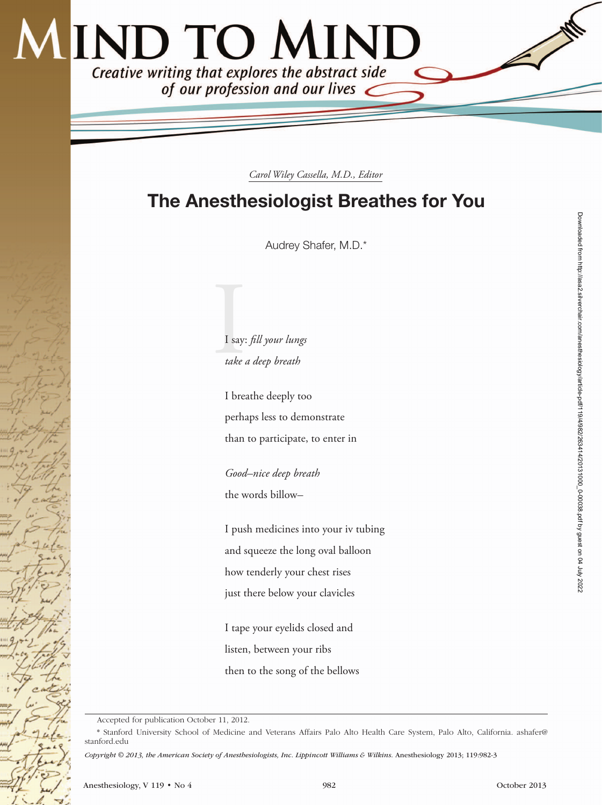## **IND TO MIND** Creative writing that explores the abstract side<br>of our profession and our lives

*Carol Wiley Cassella, M.D., Editor*

## The Anesthesiologist Breathes for You

Audrey Shafer, M.D.\*

II say: *fill your lungs take a deep breath*

> I breathe deeply too perhaps less to demonstrate than to participate, to enter in

*Good–nice deep breath* the words billow*–*

I push medicines into your iv tubing and squeeze the long oval balloon how tenderly your chest rises just there below your clavicles

I tape your eyelids closed and listen, between your ribs then to the song of the bellows

Accepted for publication October 11, 2012.

<sup>\*</sup> Stanford University School of Medicine and Veterans Affairs Palo Alto Health Care System, Palo Alto, California. [ashafer@](mailto:ashafer@stanford.edu) [stanford.edu](mailto:ashafer@stanford.edu)

*Copyright © 2013, the American Society of Anesthesiologists, Inc. Lippincott Williams & Wilkins.* Anesthesiology 2013; 119:982-3